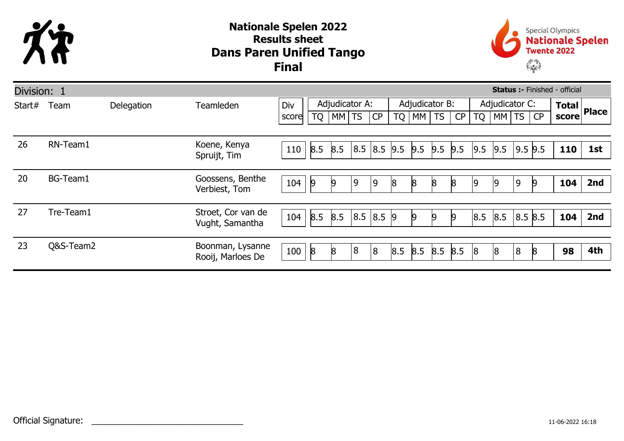

## Dans Paren Unified Tango Nationale Spelen 2022 Results sheet Final



| <b>Status :- Finished - official</b><br>Division: 1 |           |            |                                       |       |                 |       |           |            |     |                |           |     |                |       |         |    |                                 |     |
|-----------------------------------------------------|-----------|------------|---------------------------------------|-------|-----------------|-------|-----------|------------|-----|----------------|-----------|-----|----------------|-------|---------|----|---------------------------------|-----|
| Start#                                              | Team      | Delegation | <b>Teamleden</b>                      | Div   | Adjudicator A:  |       |           |            |     | Adjudicator B: |           |     | Adjudicator C: |       |         |    | $\overline{\text{Total}}$ Place |     |
|                                                     |           |            |                                       | score | <b>TQ</b>       | MM TS |           | CP         | TQ  | M              | <b>TS</b> | CP  | <b>TQ</b>      | MM TS |         | CP | score                           |     |
|                                                     |           |            |                                       |       |                 |       |           |            |     |                |           |     |                |       |         |    |                                 |     |
| 26                                                  | RN-Team1  |            | Koene, Kenya<br>Spruijt, Tim          | 110   | 8.5             | 8.5   | 8.5       | 8.5 9.5    |     | 9.5            | 9.5       | 9.5 | 9.5            | 9.5   | 9.5 9.5 |    | <b>110</b>                      | 1st |
|                                                     |           |            |                                       |       |                 |       |           |            |     |                |           |     |                |       |         |    |                                 |     |
| 20                                                  | BG-Team1  |            | Goossens, Benthe<br>Verbiest, Tom     | 104   | $\overline{9}$  | 19    | و         | 9          | 18  | 8              | 8         | 8   | 19             | 19    | 9       |    | 104                             | 2nd |
|                                                     |           |            |                                       |       |                 |       |           |            |     |                |           |     |                |       |         |    |                                 |     |
| 27                                                  | Tre-Team1 |            | Stroet, Cor van de<br>Vught, Samantha | 104   | 8.5             | 8.5   | 8.5 8.5 9 |            |     | $\vert 9$      | $\vert 9$ | 19  | 8.5            | 8.5   | 8.5 8.5 |    | 104                             | 2nd |
|                                                     |           |            |                                       |       |                 |       |           |            |     |                |           |     |                |       |         |    |                                 |     |
| 23                                                  | Q&S-Team2 |            | Boonman, Lysanne<br>Rooij, Marloes De | 100   | $8\overline{6}$ |       | 8         | $\sqrt{8}$ | 8.5 | 8.5            | 8.5       | 8.5 | 18             | 18    | 8       |    | 98                              | 4th |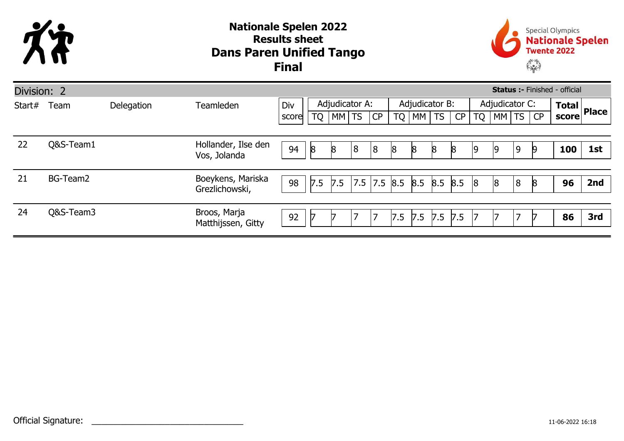

## Dans Paren Unified Tango Nationale Spelen 2022 Results sheet Final



| Division: 2<br><b>Status :- Finished - official</b> |           |            |                                     |       |                |       |           |                |           |                     |              |     |                |       |                |    |     |                         |
|-----------------------------------------------------|-----------|------------|-------------------------------------|-------|----------------|-------|-----------|----------------|-----------|---------------------|--------------|-----|----------------|-------|----------------|----|-----|-------------------------|
| Start#                                              | Team      | Delegation | Teamleden                           | Div   | Adjudicator A: |       |           |                |           | Adjudicator B:      |              |     | Adjudicator C: |       |                |    |     | Total<br>score<br>Place |
|                                                     |           |            |                                     | score | <b>TQ</b>      | MM TS |           | CP             | <b>TQ</b> | $\mid$ MM $\mid$ TS |              | CP  | <b>TQ</b>      | MM TS |                |    |     |                         |
|                                                     |           |            |                                     |       |                |       |           |                |           |                     |              |     |                |       |                |    |     |                         |
| 22                                                  | Q&S-Team1 |            | Hollander, Ilse den<br>Vos, Jolanda | 94    | $\mathsf{8}$   | 8     | $\vert 8$ | $\overline{8}$ | 8         | $\beta$             | $\mathsf{8}$ | 8   | 19             | 19    | $\overline{9}$ | 19 | 100 | 1st                     |
|                                                     |           |            |                                     |       |                |       |           |                |           |                     |              |     |                |       |                |    |     |                         |
| 21                                                  | BG-Team2  |            | Boeykens, Mariska                   | 98    | 7.5            | 7.5   | 7.5       |                | 7.5 8.5   | $8.5$ 8.5 8.5       |              |     | 8              | 8     | 8              | 8  | 96  | 2nd                     |
|                                                     |           |            | Grezlichowski,                      |       |                |       |           |                |           |                     |              |     |                |       |                |    |     |                         |
| 24                                                  | Q&S-Team3 |            | Broos, Marja                        |       |                |       |           |                |           |                     |              |     |                |       | ⇁              |    |     |                         |
|                                                     |           |            | Matthijssen, Gitty                  | 92    |                |       |           | 7              | 7.5       | $7.5$ 7.5           |              | 7.5 | 7              |       |                |    | 86  | 3rd                     |